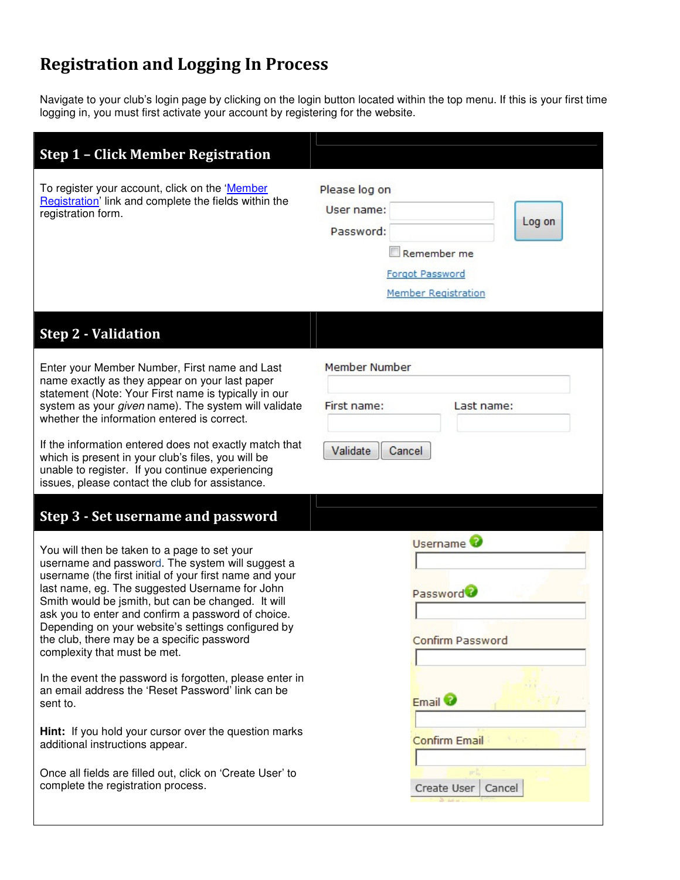# Registration and Logging In Process

Navigate to your club's login page by clicking on the login button located within the top menu. If this is your first time logging in, you must first activate your account by registering for the website.

| <b>Step 1 - Click Member Registration</b>                                                                                                                                                                                                                                                                                                                                                                                                                                             |                                                                                                                    |
|---------------------------------------------------------------------------------------------------------------------------------------------------------------------------------------------------------------------------------------------------------------------------------------------------------------------------------------------------------------------------------------------------------------------------------------------------------------------------------------|--------------------------------------------------------------------------------------------------------------------|
| To register your account, click on the 'Member<br>Registration' link and complete the fields within the<br>registration form.                                                                                                                                                                                                                                                                                                                                                         | Please log on<br>User name:<br>Log on<br>Password:<br>Remember me<br><b>Forgot Password</b><br>Member Registration |
| <b>Step 2 - Validation</b>                                                                                                                                                                                                                                                                                                                                                                                                                                                            |                                                                                                                    |
| Enter your Member Number, First name and Last<br>name exactly as they appear on your last paper<br>statement (Note: Your First name is typically in our<br>system as your given name). The system will validate<br>whether the information entered is correct.<br>If the information entered does not exactly match that<br>which is present in your club's files, you will be<br>unable to register. If you continue experiencing<br>issues, please contact the club for assistance. | Member Number<br>First name:<br>Last name:<br>Validate<br>Cancel                                                   |
| Step 3 - Set username and password                                                                                                                                                                                                                                                                                                                                                                                                                                                    |                                                                                                                    |
| You will then be taken to a page to set your<br>username and password. The system will suggest a<br>username (the first initial of your first name and your<br>last name, eg. The suggested Username for John<br>Smith would be jsmith, but can be changed. It will<br>ask you to enter and confirm a password of choice.<br>Depending on your website's settings configured by<br>the club, there may be a specific password<br>complexity that must be met.                         | Username <sup>3</sup><br>Password <sup>2</sup><br><b>Confirm Password</b>                                          |
| In the event the password is forgotten, please enter in<br>an email address the 'Reset Password' link can be<br>sent to.                                                                                                                                                                                                                                                                                                                                                              | Email <sup>2</sup>                                                                                                 |
| Hint: If you hold your cursor over the question marks<br>additional instructions appear.                                                                                                                                                                                                                                                                                                                                                                                              | <b>Confirm Email</b>                                                                                               |
| Once all fields are filled out, click on 'Create User' to<br>complete the registration process.                                                                                                                                                                                                                                                                                                                                                                                       | Cancel<br>Create User                                                                                              |